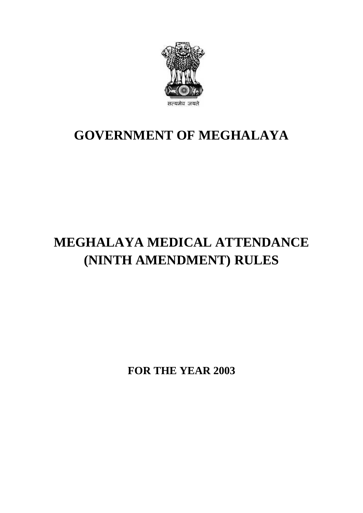

## **GOVERNMENT OF MEGHALAYA**

# **MEGHALAYA MEDICAL ATTENDANCE (NINTH AMENDMENT) RULES**

**FOR THE YEAR 2003**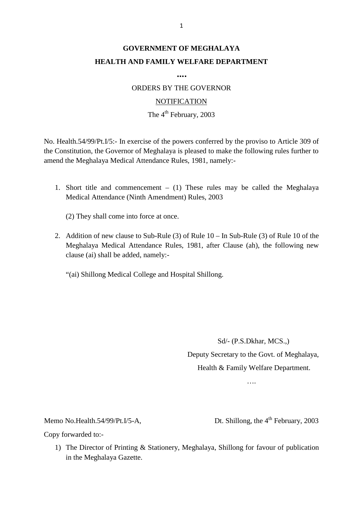### **GOVERNMENT OF MEGHALAYA HEALTH AND FAMILY WELFARE DEPARTMENT**

**….**

ORDERS BY THE GOVERNOR

#### **NOTIFICATION**

#### The  $4<sup>th</sup>$  February, 2003

NOTIFICATION<br>The 4<sup>th</sup> February, 2003<br>No. Health.54/99/Pt.I/5:- In exercise of the powers conferred by the proviso to Article 309 of<br>the Constitution, the Governor of Meghalaya is pleased to make the following rules furthe amend the Meghalaya Medical Attendance Rules, 1981, namely:- 1. Short title and commencement – (1) These rules may be called the Meghalaya Medical Attendance Rules, 1981, namely:-<br>1. Short title and commencement – (1) These rules may be called the Meghalaya Medical Attendance (Ninth

- Medical Attendance (Ninth Amendment) Rules, 2003
	- (2) They shall come into force at once.
- Medical Attendance (Ninth Amendment) Rules, 2003<br>
(2) They shall come into force at once.<br>
2. Addition of new clause to Sub-Rule (3) of Rule 10 In Sub-Rule (3) of Rule 10 of the<br>
Meghalaya Medical Attendance Rules, 1981, clause (ai) shall be added, namely:-

"(ai) Shillong Medical College and Hospital Shillong.

Sd/- (P.S.Dkhar, MCS.,) Deputy Secretary to the Govt. of Meghalaya, Health & Family Welfare Department.

….

Memo No.Health.54/99/Pt.I/5-A,<br>Copy forwarded to:-

....<br>Memo No.Health.54/99/Pt.I/5-A, Dt. Shillong, the 4<sup>th</sup> February, 2003<br>Copy forwarded to:-

1) The Director of Printing & Stationery, Meghalaya, Shillong for favour of publication must be Director of Printing & Stationery, Meghalaya, Shillong for favour of publication in the Meghalaya Gazette.